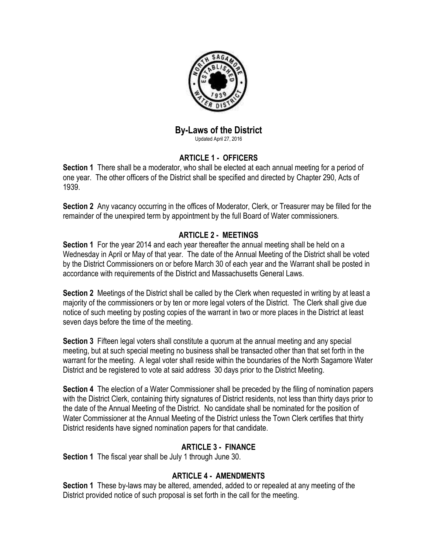

# **By-Laws of the District**

Updated April 27, 2016

# **ARTICLE 1 - OFFICERS**

**Section 1** There shall be a moderator, who shall be elected at each annual meeting for a period of one year. The other officers of the District shall be specified and directed by Chapter 290, Acts of 1939.

**Section 2** Any vacancy occurring in the offices of Moderator, Clerk, or Treasurer may be filled for the remainder of the unexpired term by appointment by the full Board of Water commissioners.

#### **ARTICLE 2 - MEETINGS**

**Section 1** For the year 2014 and each year thereafter the annual meeting shall be held on a Wednesday in April or May of that year. The date of the Annual Meeting of the District shall be voted by the District Commissioners on or before March 30 of each year and the Warrant shall be posted in accordance with requirements of the District and Massachusetts General Laws.

**Section 2** Meetings of the District shall be called by the Clerk when requested in writing by at least a majority of the commissioners or by ten or more legal voters of the District. The Clerk shall give due notice of such meeting by posting copies of the warrant in two or more places in the District at least seven days before the time of the meeting.

**Section 3** Fifteen legal voters shall constitute a quorum at the annual meeting and any special meeting, but at such special meeting no business shall be transacted other than that set forth in the warrant for the meeting. A legal voter shall reside within the boundaries of the North Sagamore Water District and be registered to vote at said address 30 days prior to the District Meeting.

**Section 4** The election of a Water Commissioner shall be preceded by the filing of nomination papers with the District Clerk, containing thirty signatures of District residents, not less than thirty days prior to the date of the Annual Meeting of the District. No candidate shall be nominated for the position of Water Commissioner at the Annual Meeting of the District unless the Town Clerk certifies that thirty District residents have signed nomination papers for that candidate.

## **ARTICLE 3 - FINANCE**

**Section 1** The fiscal year shall be July 1 through June 30.

## **ARTICLE 4 - AMENDMENTS**

**Section 1** These by-laws may be altered, amended, added to or repealed at any meeting of the District provided notice of such proposal is set forth in the call for the meeting.